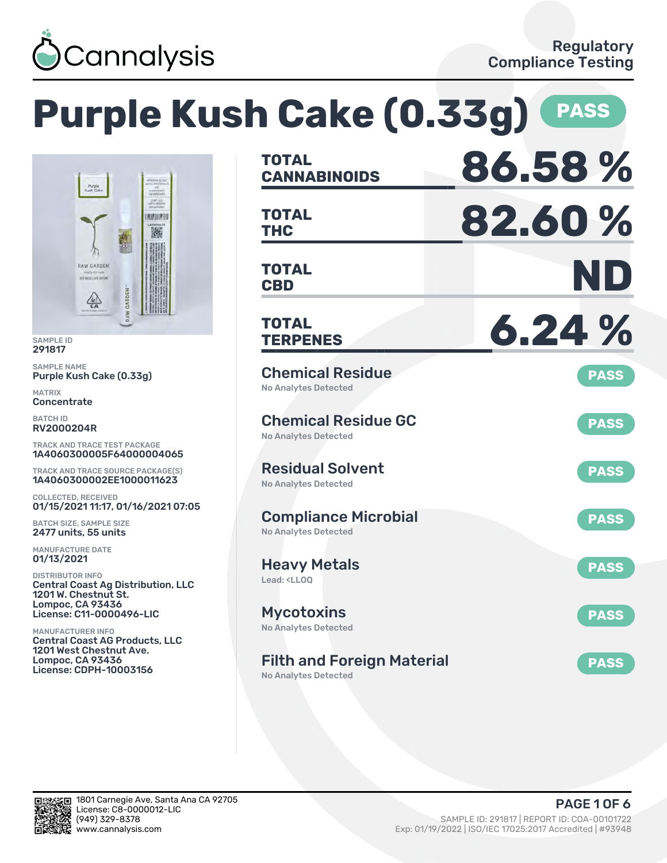

#### **Purple Kush Cake (0.33g) PASS CANNABINOIDS 86.58 % TOTAL** Purple<br>Kuch Cake ESAP LA **THC 82.60 % TOTAL AITURN** 胸 **CBD ND RAW GARDEN TOTAL THEOLIVE HERE** CARDEN  $\frac{\sqrt{2}}{5A}$ **TERPENES 6.24 % TOTAL** SAMPLE NAME Chemical Residue **PASS** Purple Kush Cake (0.33g) No Analytes Detected **Concentrate** Chemical Residue GC **PASS** RV2000204R No Analytes Detected TRACK AND TRACE TEST PACKAGE 1A4060300005F64000004065 Residual Solvent TRACK AND TRACE SOURCE PACKAGE(S) **PASS** 1A4060300002EE1000011623 No Analytes Detected COLLECTED, RECEIVED 01/15/2021 11:17, 01/16/2021 07:05 Compliance Microbial **PASS** BATCH SIZE, SAMPLE SIZE 2477 units, 55 units No Analytes Detected MANUFACTURE DATE 01/13/2021 Heavy Metals **PASS** DISTRIBUTOR INFO Lead: <LLOQ Central Coast Ag Distribution, LLC 1201 W. Chestnut St. Lompoc, CA 93436 **Mycotoxins** License: C11-0000496-LIC **PASS** No Analytes Detected MANUFACTURER INFO Central Coast AG Products, LLC 1201 West Chestnut Ave. Lompoc, CA 93436 Filth and Foreign Material **PASS** License: CDPH-10003156

No Analytes Detected



SAMPLE ID 291817

MATRIX

BATCH ID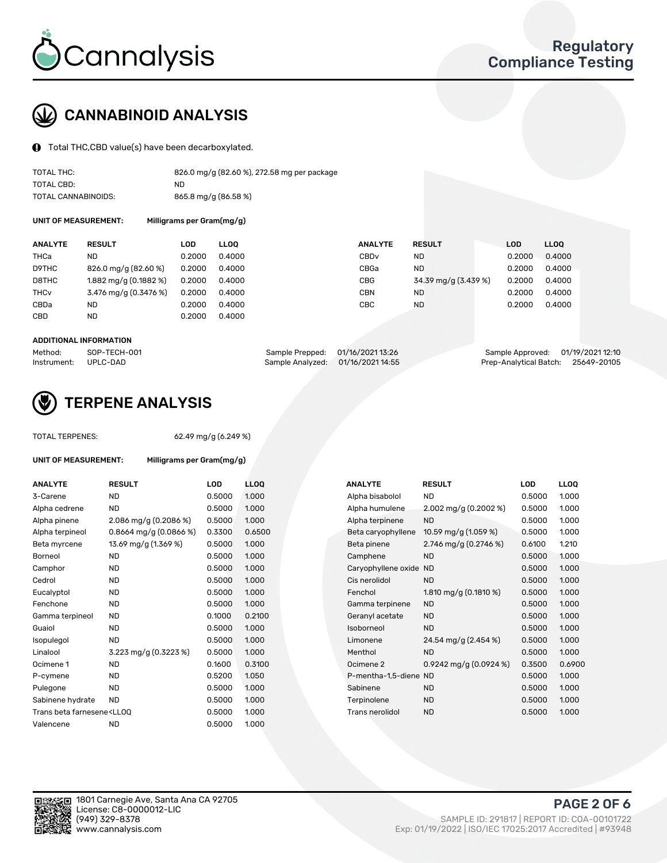

# CANNABINOID ANALYSIS

Total THC,CBD value(s) have been decarboxylated.

| TOTAL THC:          | 826.0 mg/g (82.60 %), 272.58 mg per package |
|---------------------|---------------------------------------------|
| TOTAL CBD:          | ND.                                         |
| TOTAL CANNABINOIDS: | 865.8 mg/g (86.58 %)                        |

UNIT OF MEASUREMENT: Milligrams per Gram(mg/g)

| <b>ANALYTE</b>         | <b>RESULT</b>           | LOD    | <b>LLOO</b> | <b>ANALYTE</b>   | <b>RESULT</b>        | LOD    | <b>LLOO</b> |
|------------------------|-------------------------|--------|-------------|------------------|----------------------|--------|-------------|
| THCa                   | ND                      | 0.2000 | 0.4000      | CBD <sub>v</sub> | ND                   | 0.2000 | 0.4000      |
| D9THC                  | 826.0 mg/g (82.60 %)    | 0.2000 | 0.4000      | CBGa             | <b>ND</b>            | 0.2000 | 0.4000      |
| D8THC                  | $1.882$ mg/g (0.1882 %) | 0.2000 | 0.4000      | <b>CBG</b>       | 34.39 mg/g (3.439 %) | 0.2000 | 0.4000      |
| <b>THC<sub>v</sub></b> | 3.476 mg/g (0.3476 %)   | 0.2000 | 0.4000      | CBN              | ND                   | 0.2000 | 0.4000      |
| CBDa                   | ND                      | 0.2000 | 0.4000      | CBC              | <b>ND</b>            | 0.2000 | 0.4000      |
| <b>CBD</b>             | <b>ND</b>               | 0.2000 | 0.4000      |                  |                      |        |             |

#### ADDITIONAL INFORMATION

| Method:              | SOP-TECH-001 | Sample Prepped: 01/16/2021 13:26  | Sample Approved: 01/19/2021 12:10  |  |
|----------------------|--------------|-----------------------------------|------------------------------------|--|
| Instrument: UPLC-DAD |              | Sample Analyzed: 01/16/2021 14:55 | Prep-Analytical Batch: 25649-20105 |  |



## TERPENE ANALYSIS

UNIT OF MEASUREMENT: Milligrams per Gram(mg/g)

| TUTAL TENFENES. |  |
|-----------------|--|
|                 |  |
|                 |  |
|                 |  |

TOTAL TERPENES: 62.49 mg/g (6.249 %)

| <b>ANALYTE</b>                                                                                                                                          | <b>RESULT</b>             | <b>LOD</b> | <b>LLOQ</b> | <b>ANALYTE</b>         | <b>RESULT</b>            | <b>LOD</b> | <b>LLOQ</b> |
|---------------------------------------------------------------------------------------------------------------------------------------------------------|---------------------------|------------|-------------|------------------------|--------------------------|------------|-------------|
| 3-Carene                                                                                                                                                | <b>ND</b>                 | 0.5000     | 1.000       | Alpha bisabolol        | <b>ND</b>                | 0.5000     | 1.000       |
| Alpha cedrene                                                                                                                                           | <b>ND</b>                 | 0.5000     | 1.000       | Alpha humulene         | 2.002 mg/g $(0.2002 \%)$ | 0.5000     | 1.000       |
| Alpha pinene                                                                                                                                            | 2.086 mg/g (0.2086 %)     | 0.5000     | 1.000       | Alpha terpinene        | <b>ND</b>                | 0.5000     | 1.000       |
| Alpha terpineol                                                                                                                                         | $0.8664$ mg/g $(0.0866%)$ | 0.3300     | 0.6500      | Beta caryophyllene     | 10.59 mg/g (1.059 %)     | 0.5000     | 1.000       |
| Beta myrcene                                                                                                                                            | 13.69 mg/g (1.369 %)      | 0.5000     | 1.000       | Beta pinene            | 2.746 mg/g (0.2746 %)    | 0.6100     | 1.210       |
| <b>Borneol</b>                                                                                                                                          | <b>ND</b>                 | 0.5000     | 1.000       | Camphene               | <b>ND</b>                | 0.5000     | 1.000       |
| Camphor                                                                                                                                                 | <b>ND</b>                 | 0.5000     | 1.000       | Caryophyllene oxide ND |                          | 0.5000     | 1.000       |
| Cedrol                                                                                                                                                  | <b>ND</b>                 | 0.5000     | 1.000       | Cis nerolidol          | <b>ND</b>                | 0.5000     | 1.000       |
| Eucalyptol                                                                                                                                              | <b>ND</b>                 | 0.5000     | 1.000       | Fenchol                | 1.810 mg/g $(0.1810\%)$  | 0.5000     | 1.000       |
| Fenchone                                                                                                                                                | <b>ND</b>                 | 0.5000     | 1.000       | Gamma terpinene        | <b>ND</b>                | 0.5000     | 1.000       |
| Gamma terpineol                                                                                                                                         | <b>ND</b>                 | 0.1000     | 0.2100      | Geranyl acetate        | <b>ND</b>                | 0.5000     | 1.000       |
| Guaiol                                                                                                                                                  | <b>ND</b>                 | 0.5000     | 1.000       | Isoborneol             | <b>ND</b>                | 0.5000     | 1.000       |
| Isopulegol                                                                                                                                              | <b>ND</b>                 | 0.5000     | 1.000       | Limonene               | 24.54 mg/g (2.454 %)     | 0.5000     | 1.000       |
| Linalool                                                                                                                                                | 3.223 mg/g (0.3223 %)     | 0.5000     | 1.000       | Menthol                | <b>ND</b>                | 0.5000     | 1.000       |
| Ocimene 1                                                                                                                                               | <b>ND</b>                 | 0.1600     | 0.3100      | Ocimene 2              | 0.9242 mg/g $(0.0924\%)$ | 0.3500     | 0.6900      |
| P-cymene                                                                                                                                                | <b>ND</b>                 | 0.5200     | 1.050       | P-mentha-1.5-diene ND  |                          | 0.5000     | 1.000       |
| Pulegone                                                                                                                                                | <b>ND</b>                 | 0.5000     | 1.000       | Sabinene               | <b>ND</b>                | 0.5000     | 1.000       |
| Sabinene hydrate                                                                                                                                        | <b>ND</b>                 | 0.5000     | 1.000       | Terpinolene            | <b>ND</b>                | 0.5000     | 1.000       |
| Trans beta farnesene <ll00< td=""><td></td><td>0.5000</td><td>1.000</td><td>Trans nerolidol</td><td><b>ND</b></td><td>0.5000</td><td>1.000</td></ll00<> |                           | 0.5000     | 1.000       | Trans nerolidol        | <b>ND</b>                | 0.5000     | 1.000       |
| Valencene                                                                                                                                               | <b>ND</b>                 | 0.5000     | 1.000       |                        |                          |            |             |

| ANALYTE               | <b>RESULT</b>            | LOD    | <b>LLOO</b> |
|-----------------------|--------------------------|--------|-------------|
| Alpha bisabolol       | <b>ND</b>                | 0.5000 | 1.000       |
| Alpha humulene        | 2.002 mg/g (0.2002 %)    | 0.5000 | 1.000       |
| Alpha terpinene       | <b>ND</b>                | 0.5000 | 1.000       |
| Beta caryophyllene    | 10.59 mg/g (1.059 %)     | 0.5000 | 1.000       |
| Beta pinene           | 2.746 mg/g $(0.2746\%)$  | 0.6100 | 1.210       |
| Camphene              | <b>ND</b>                | 0.5000 | 1.000       |
| Caryophyllene oxide   | <b>ND</b>                | 0.5000 | 1.000       |
| Cis nerolidol         | <b>ND</b>                | 0.5000 | 1.000       |
| Fenchol               | 1.810 mg/g $(0.1810 \%)$ | 0.5000 | 1.000       |
| Gamma terpinene       | <b>ND</b>                | 0.5000 | 1.000       |
| Geranyl acetate       | <b>ND</b>                | 0.5000 | 1.000       |
| Isoborneol            | <b>ND</b>                | 0.5000 | 1.000       |
| Limonene              | 24.54 mg/g (2.454 %)     | 0.5000 | 1.000       |
| Menthol               | <b>ND</b>                | 0.5000 | 1.000       |
| Ocimene <sub>2</sub>  | 0.9242 mg/g $(0.0924\%)$ | 0.3500 | 0.6900      |
| P-mentha-1,5-diene ND |                          | 0.5000 | 1.000       |
| Sabinene              | <b>ND</b>                | 0.5000 | 1.000       |
| Terpinolene           | <b>ND</b>                | 0.5000 | 1.000       |
| Trans nerolidol       | <b>ND</b>                | 0.5000 | 1.000       |
|                       |                          |        |             |

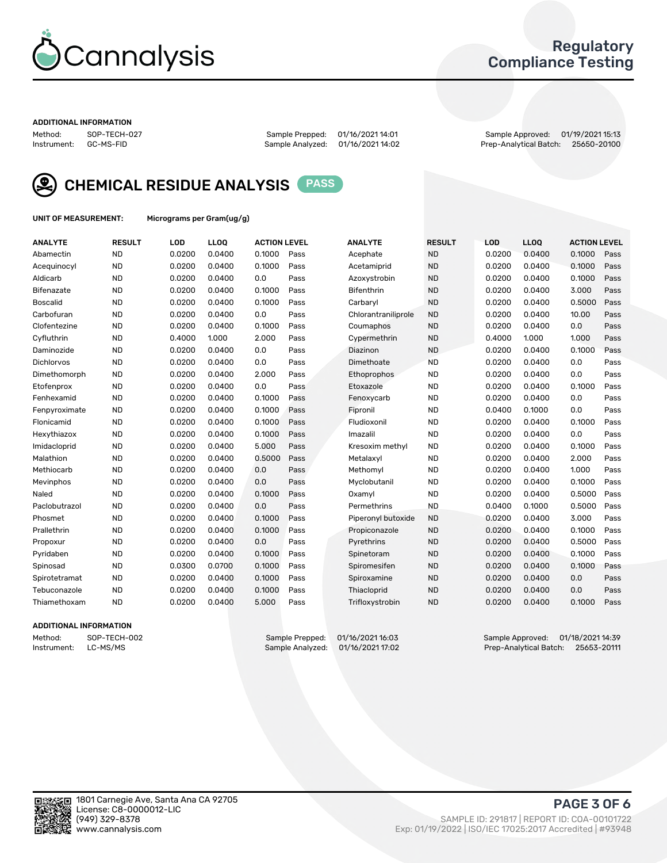

## Regulatory Compliance Testing

#### ADDITIONAL INFORMATION

Method: SOP-TECH-027 Sample Prepped: 01/16/2021 14:01 Sample Approved: 01/19/2021 15:13 Prep-Analytical Batch: 25650-20100



CHEMICAL RESIDUE ANALYSIS PASS

UNIT OF MEASUREMENT: Micrograms per Gram(ug/g)

| <b>ANALYTE</b>    | <b>RESULT</b> | LOD    | LL <sub>OO</sub> | <b>ACTION LEVEL</b> |      | <b>ANALYTE</b>      | <b>RESULT</b> | <b>LOD</b> | <b>LLOQ</b> | <b>ACTION LEVEL</b> |      |
|-------------------|---------------|--------|------------------|---------------------|------|---------------------|---------------|------------|-------------|---------------------|------|
| Abamectin         | <b>ND</b>     | 0.0200 | 0.0400           | 0.1000              | Pass | Acephate            | <b>ND</b>     | 0.0200     | 0.0400      | 0.1000              | Pass |
| Acequinocyl       | <b>ND</b>     | 0.0200 | 0.0400           | 0.1000              | Pass | Acetamiprid         | <b>ND</b>     | 0.0200     | 0.0400      | 0.1000              | Pass |
| Aldicarb          | <b>ND</b>     | 0.0200 | 0.0400           | 0.0                 | Pass | Azoxystrobin        | <b>ND</b>     | 0.0200     | 0.0400      | 0.1000              | Pass |
| Bifenazate        | <b>ND</b>     | 0.0200 | 0.0400           | 0.1000              | Pass | <b>Bifenthrin</b>   | <b>ND</b>     | 0.0200     | 0.0400      | 3.000               | Pass |
| <b>Boscalid</b>   | <b>ND</b>     | 0.0200 | 0.0400           | 0.1000              | Pass | Carbaryl            | <b>ND</b>     | 0.0200     | 0.0400      | 0.5000              | Pass |
| Carbofuran        | <b>ND</b>     | 0.0200 | 0.0400           | 0.0                 | Pass | Chlorantraniliprole | <b>ND</b>     | 0.0200     | 0.0400      | 10.00               | Pass |
| Clofentezine      | <b>ND</b>     | 0.0200 | 0.0400           | 0.1000              | Pass | Coumaphos           | <b>ND</b>     | 0.0200     | 0.0400      | 0.0                 | Pass |
| Cyfluthrin        | <b>ND</b>     | 0.4000 | 1.000            | 2.000               | Pass | Cypermethrin        | <b>ND</b>     | 0.4000     | 1.000       | 1.000               | Pass |
| Daminozide        | <b>ND</b>     | 0.0200 | 0.0400           | 0.0                 | Pass | Diazinon            | <b>ND</b>     | 0.0200     | 0.0400      | 0.1000              | Pass |
| <b>Dichlorvos</b> | <b>ND</b>     | 0.0200 | 0.0400           | 0.0                 | Pass | Dimethoate          | <b>ND</b>     | 0.0200     | 0.0400      | 0.0                 | Pass |
| Dimethomorph      | <b>ND</b>     | 0.0200 | 0.0400           | 2.000               | Pass | <b>Ethoprophos</b>  | <b>ND</b>     | 0.0200     | 0.0400      | 0.0                 | Pass |
| Etofenprox        | <b>ND</b>     | 0.0200 | 0.0400           | 0.0                 | Pass | Etoxazole           | <b>ND</b>     | 0.0200     | 0.0400      | 0.1000              | Pass |
| Fenhexamid        | <b>ND</b>     | 0.0200 | 0.0400           | 0.1000              | Pass | Fenoxycarb          | <b>ND</b>     | 0.0200     | 0.0400      | 0.0                 | Pass |
| Fenpyroximate     | <b>ND</b>     | 0.0200 | 0.0400           | 0.1000              | Pass | Fipronil            | <b>ND</b>     | 0.0400     | 0.1000      | 0.0                 | Pass |
| Flonicamid        | <b>ND</b>     | 0.0200 | 0.0400           | 0.1000              | Pass | Fludioxonil         | <b>ND</b>     | 0.0200     | 0.0400      | 0.1000              | Pass |
| Hexythiazox       | <b>ND</b>     | 0.0200 | 0.0400           | 0.1000              | Pass | Imazalil            | <b>ND</b>     | 0.0200     | 0.0400      | 0.0                 | Pass |
| Imidacloprid      | <b>ND</b>     | 0.0200 | 0.0400           | 5.000               | Pass | Kresoxim methyl     | <b>ND</b>     | 0.0200     | 0.0400      | 0.1000              | Pass |
| Malathion         | <b>ND</b>     | 0.0200 | 0.0400           | 0.5000              | Pass | Metalaxyl           | <b>ND</b>     | 0.0200     | 0.0400      | 2.000               | Pass |
| Methiocarb        | <b>ND</b>     | 0.0200 | 0.0400           | 0.0                 | Pass | Methomyl            | <b>ND</b>     | 0.0200     | 0.0400      | 1.000               | Pass |
| Mevinphos         | <b>ND</b>     | 0.0200 | 0.0400           | 0.0                 | Pass | Myclobutanil        | <b>ND</b>     | 0.0200     | 0.0400      | 0.1000              | Pass |
| Naled             | <b>ND</b>     | 0.0200 | 0.0400           | 0.1000              | Pass | Oxamyl              | <b>ND</b>     | 0.0200     | 0.0400      | 0.5000              | Pass |
| Paclobutrazol     | <b>ND</b>     | 0.0200 | 0.0400           | 0.0                 | Pass | Permethrins         | <b>ND</b>     | 0.0400     | 0.1000      | 0.5000              | Pass |
| Phosmet           | <b>ND</b>     | 0.0200 | 0.0400           | 0.1000              | Pass | Piperonyl butoxide  | <b>ND</b>     | 0.0200     | 0.0400      | 3.000               | Pass |
| Prallethrin       | <b>ND</b>     | 0.0200 | 0.0400           | 0.1000              | Pass | Propiconazole       | <b>ND</b>     | 0.0200     | 0.0400      | 0.1000              | Pass |
| Propoxur          | <b>ND</b>     | 0.0200 | 0.0400           | 0.0                 | Pass | Pyrethrins          | <b>ND</b>     | 0.0200     | 0.0400      | 0.5000              | Pass |
| Pyridaben         | <b>ND</b>     | 0.0200 | 0.0400           | 0.1000              | Pass | Spinetoram          | <b>ND</b>     | 0.0200     | 0.0400      | 0.1000              | Pass |
| Spinosad          | <b>ND</b>     | 0.0300 | 0.0700           | 0.1000              | Pass | Spiromesifen        | <b>ND</b>     | 0.0200     | 0.0400      | 0.1000              | Pass |
| Spirotetramat     | <b>ND</b>     | 0.0200 | 0.0400           | 0.1000              | Pass | Spiroxamine         | <b>ND</b>     | 0.0200     | 0.0400      | 0.0                 | Pass |
| Tebuconazole      | <b>ND</b>     | 0.0200 | 0.0400           | 0.1000              | Pass | Thiacloprid         | <b>ND</b>     | 0.0200     | 0.0400      | 0.0                 | Pass |
| Thiamethoxam      | <b>ND</b>     | 0.0200 | 0.0400           | 5.000               | Pass | Trifloxystrobin     | <b>ND</b>     | 0.0200     | 0.0400      | 0.1000              | Pass |

### ADDITIONAL INFORMATION

Method: SOP-TECH-002 Sample Prepped: 01/16/2021 14:03 Sample Approved: 01/18/2021 14:39<br>Instrument: LC-MS/MS Sample Analyzed: 01/16/2021 17:02 Prep-Analytical Batch: 25653-20111 Prep-Analytical Batch: 25653-20111

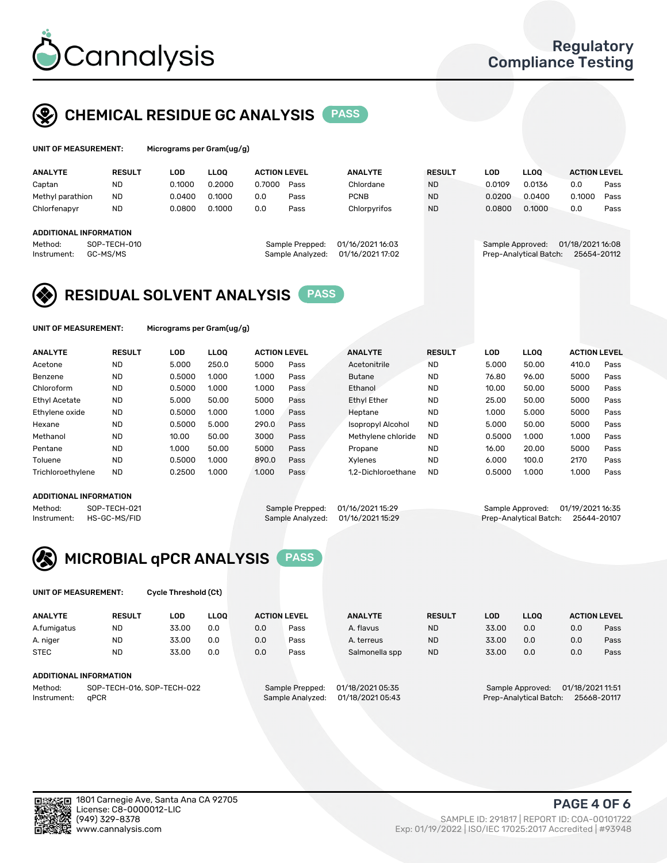

## CHEMICAL RESIDUE GC ANALYSIS PASS

| UNIT OF MEASUREMENT: | Microgr |
|----------------------|---------|
|                      |         |

rams per Gram(ug/g)

| <b>ANALYTE</b>                | <b>RESULT</b> | LOD    | LLOO   | <b>ACTION LEVEL</b> |                  | <b>ANALYTE</b>   | <b>RESULT</b> | LOD              | <b>LLOO</b>            | <b>ACTION LEVEL</b> |      |
|-------------------------------|---------------|--------|--------|---------------------|------------------|------------------|---------------|------------------|------------------------|---------------------|------|
| Captan                        | <b>ND</b>     | 0.1000 | 0.2000 | 0.7000              | Pass             | Chlordane        | <b>ND</b>     | 0.0109           | 0.0136                 | 0.0                 | Pass |
| Methyl parathion              | <b>ND</b>     | 0.0400 | 0.1000 | 0.0                 | Pass             | <b>PCNB</b>      | <b>ND</b>     | 0.0200           | 0.0400                 | 0.1000              | Pass |
| Chlorfenapyr                  | <b>ND</b>     | 0.0800 | 0.1000 | 0.0                 | Pass             | Chlorpyrifos     | <b>ND</b>     | 0.0800           | 0.1000                 | 0.0                 | Pass |
|                               |               |        |        |                     |                  |                  |               |                  |                        |                     |      |
| <b>ADDITIONAL INFORMATION</b> |               |        |        |                     |                  |                  |               |                  |                        |                     |      |
| Method:                       | SOP-TECH-010  |        |        |                     | Sample Prepped:  | 01/16/2021 16:03 |               | Sample Approved: |                        | 01/18/2021 16:08    |      |
| Instrument:                   | GC-MS/MS      |        |        |                     | Sample Analyzed: | 01/16/2021 17:02 |               |                  | Prep-Analytical Batch: | 25654-20112         |      |
|                               |               |        |        |                     |                  |                  |               |                  |                        |                     |      |

## RESIDUAL SOLVENT ANALYSIS PASS

UNIT OF MEASUREMENT: Micrograms per Gram(ug/g)

| <b>ANALYTE</b>       | <b>RESULT</b> | LOD    | <b>LLOO</b> | <b>ACTION LEVEL</b> |      | <b>ANALYTE</b>           | <b>RESULT</b> | LOD    | LLOO  | <b>ACTION LEVEL</b> |      |
|----------------------|---------------|--------|-------------|---------------------|------|--------------------------|---------------|--------|-------|---------------------|------|
| Acetone              | <b>ND</b>     | 5.000  | 250.0       | 5000                | Pass | Acetonitrile             | <b>ND</b>     | 5.000  | 50.00 | 410.0               | Pass |
| Benzene              | <b>ND</b>     | 0.5000 | 1.000       | 1.000               | Pass | <b>Butane</b>            | <b>ND</b>     | 76.80  | 96.00 | 5000                | Pass |
| Chloroform           | <b>ND</b>     | 0.5000 | 1.000       | 1.000               | Pass | Ethanol                  | <b>ND</b>     | 10.00  | 50.00 | 5000                | Pass |
| <b>Ethyl Acetate</b> | <b>ND</b>     | 5.000  | 50.00       | 5000                | Pass | <b>Ethyl Ether</b>       | <b>ND</b>     | 25.00  | 50.00 | 5000                | Pass |
| Ethylene oxide       | <b>ND</b>     | 0.5000 | 1.000       | 1.000               | Pass | Heptane                  | <b>ND</b>     | 1.000  | 5.000 | 5000                | Pass |
| Hexane               | <b>ND</b>     | 0.5000 | 5.000       | 290.0               | Pass | <b>Isopropyl Alcohol</b> | <b>ND</b>     | 5.000  | 50.00 | 5000                | Pass |
| Methanol             | <b>ND</b>     | 10.00  | 50.00       | 3000                | Pass | Methylene chloride       | <b>ND</b>     | 0.5000 | 1.000 | 1.000               | Pass |
| Pentane              | <b>ND</b>     | 1.000  | 50.00       | 5000                | Pass | Propane                  | <b>ND</b>     | 16.00  | 20.00 | 5000                | Pass |
| Toluene              | <b>ND</b>     | 0.5000 | 1.000       | 890.0               | Pass | Xvlenes                  | <b>ND</b>     | 6.000  | 100.0 | 2170                | Pass |
| Trichloroethylene    | <b>ND</b>     | 0.2500 | 1.000       | 1.000               | Pass | 1.2-Dichloroethane       | <b>ND</b>     | 0.5000 | 1.000 | 1.000               | Pass |

### ADDITIONAL INFORMATION

Method: SOP-TECH-021 Sample Prepped: 01/16/2021 15:29 Sample Approved: 01/19/2021 16:35<br>Instrument: HS-GC-MS/FID Sample Analyzed: 01/16/2021 15:29 Prep-Analytical Batch: 25644-20107 Prep-Analytical Batch: 25644-20107



UNIT OF MEASUREMENT: Cycle Threshold (Ct)

| <b>ANALYTE</b>         | <b>RESULT</b>              | LOD   | <b>LLOO</b> |     | <b>ACTION LEVEL</b> | <b>ANALYTE</b>   | <b>RESULT</b> | LOD   | <b>LLOO</b>            |                  | <b>ACTION LEVEL</b> |
|------------------------|----------------------------|-------|-------------|-----|---------------------|------------------|---------------|-------|------------------------|------------------|---------------------|
| A.fumigatus            | <b>ND</b>                  | 33.00 | 0.0         | 0.0 | Pass                | A. flavus        | <b>ND</b>     | 33.00 | 0.0                    | 0.0              | Pass                |
| A. niger               | <b>ND</b>                  | 33.00 | 0.0         | 0.0 | Pass                | A. terreus       | <b>ND</b>     | 33.00 | 0.0                    | 0.0              | Pass                |
| <b>STEC</b>            | <b>ND</b>                  | 33.00 | 0.0         | 0.0 | Pass                | Salmonella spp   | <b>ND</b>     | 33.00 | 0.0                    | 0.0              | Pass                |
| ADDITIONAL INFORMATION |                            |       |             |     |                     |                  |               |       |                        |                  |                     |
| Method:                | SOP-TECH-016, SOP-TECH-022 |       |             |     | Sample Prepped:     | 01/18/2021 05:35 |               |       | Sample Approved:       | 01/18/2021 11:51 |                     |
| Instrument:            | aPCR                       |       |             |     | Sample Analyzed:    | 01/18/2021 05:43 |               |       | Prep-Analytical Batch: |                  | 25668-20117         |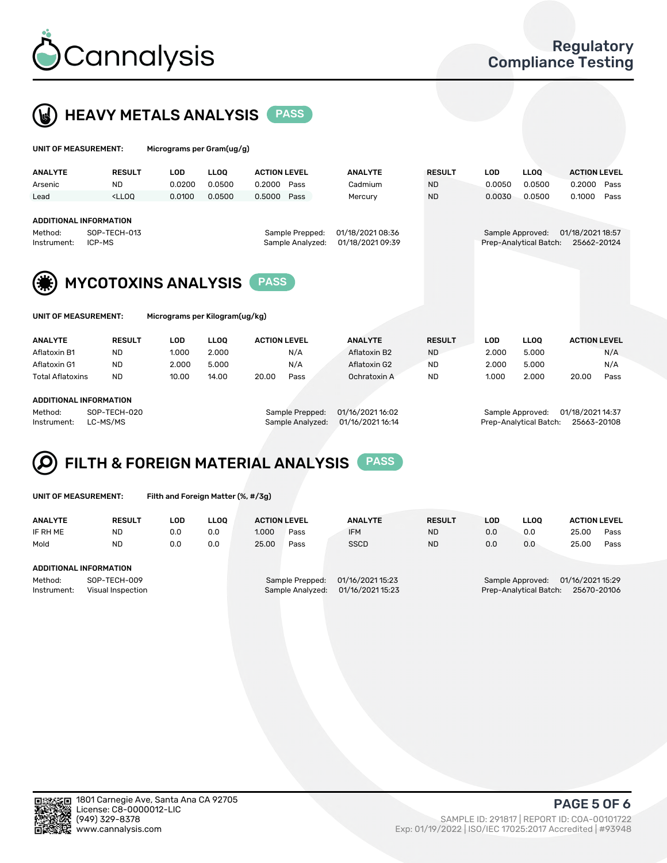



| UNIT OF MEASUREMENT:                                    |                                                                                                                                                                         | Micrograms per Gram(ug/g)      |             |                                     |                                      |               |            |                                            |                                 |      |
|---------------------------------------------------------|-------------------------------------------------------------------------------------------------------------------------------------------------------------------------|--------------------------------|-------------|-------------------------------------|--------------------------------------|---------------|------------|--------------------------------------------|---------------------------------|------|
| <b>ANALYTE</b>                                          | <b>RESULT</b>                                                                                                                                                           | <b>LOD</b>                     | <b>LLOO</b> | <b>ACTION LEVEL</b>                 | <b>ANALYTE</b>                       | <b>RESULT</b> | <b>LOD</b> | LLOO <sup>1</sup>                          | <b>ACTION LEVEL</b>             |      |
| Arsenic                                                 | <b>ND</b>                                                                                                                                                               | 0.0200                         | 0.0500      | 0.2000<br>Pass                      | Cadmium                              | <b>ND</b>     | 0.0050     | 0.0500                                     | 0.2000                          | Pass |
| Lead                                                    | <lloo< td=""><td>0.0100</td><td>0.0500</td><td>0.5000<br/>Pass</td><td>Mercury</td><td><b>ND</b></td><td>0.0030</td><td>0.0500</td><td>0.1000</td><td>Pass</td></lloo<> | 0.0100                         | 0.0500      | 0.5000<br>Pass                      | Mercury                              | <b>ND</b>     | 0.0030     | 0.0500                                     | 0.1000                          | Pass |
| <b>ADDITIONAL INFORMATION</b><br>Method:<br>Instrument: | SOP-TECH-013<br>ICP-MS                                                                                                                                                  |                                |             | Sample Prepped:<br>Sample Analyzed: | 01/18/2021 08:36<br>01/18/2021 09:39 |               |            | Sample Approved:<br>Prep-Analytical Batch: | 01/18/2021 18:57<br>25662-20124 |      |
|                                                         |                                                                                                                                                                         | <b>MYCOTOXINS ANALYSIS</b>     |             | <b>PASS</b>                         |                                      |               |            |                                            |                                 |      |
| UNIT OF MEASUREMENT:                                    |                                                                                                                                                                         | Micrograms per Kilogram(ug/kg) |             |                                     |                                      |               |            |                                            |                                 |      |
| <b>ANALYTE</b>                                          | <b>RESULT</b>                                                                                                                                                           | <b>LOD</b>                     | <b>LLOO</b> | <b>ACTION LEVEL</b>                 | <b>ANALYTE</b>                       | <b>RESULT</b> | <b>LOD</b> | <b>LLOQ</b>                                | <b>ACTION LEVEL</b>             |      |
| Aflatoxin B1                                            | <b>ND</b>                                                                                                                                                               | 1.000                          | 2.000       | N/A                                 | Aflatoxin B2                         | <b>ND</b>     | 2.000      | 5.000                                      |                                 | N/A  |
| Aflatoxin G1                                            | <b>ND</b>                                                                                                                                                               | 2.000                          | 5.000       | N/A                                 | Aflatoxin G2                         | <b>ND</b>     | 2.000      | 5.000                                      |                                 | N/A  |
| <b>Total Aflatoxins</b>                                 | <b>ND</b>                                                                                                                                                               | 10.00                          | 14.00       | 20.00<br>Pass                       | Ochratoxin A                         | <b>ND</b>     | 1.000      | 2.000                                      | 20.00                           | Pass |

#### ADDITIONAL INFORMATION

Method: SOP-TECH-020 Sample Prepped: 01/16/2021 16:02 Sample Approved: 01/18/2021 14:37 Instrument: LC-MS/MS Sample Analyzed: 01/16/2021 16:14 Prep-Analytical Batch: 25663-20108

# FILTH & FOREIGN MATERIAL ANALYSIS PASS

UNIT OF MEASUREMENT: Filth and Foreign Matter (%, #/3g)

| <b>ANALYTE</b>                                              | <b>RESULT</b> | LOD | <b>LLOO</b> | <b>ACTION LEVEL</b>                                                         |      | <b>ANALYTE</b> | <b>RESULT</b> | LOD                                                                           | <b>LLOO</b> | <b>ACTION LEVEL</b> |      |
|-------------------------------------------------------------|---------------|-----|-------------|-----------------------------------------------------------------------------|------|----------------|---------------|-------------------------------------------------------------------------------|-------------|---------------------|------|
| IF RH ME                                                    | <b>ND</b>     | 0.0 | 0.0         | 1.000                                                                       | Pass | <b>IFM</b>     | <b>ND</b>     | 0.0                                                                           | 0.0         | 25.00               | Pass |
| Mold                                                        | <b>ND</b>     | 0.0 | 0.0         | 25.00                                                                       | Pass | <b>SSCD</b>    | <b>ND</b>     | 0.0                                                                           | 0.0         | 25.00               | Pass |
| ADDITIONAL INFORMATION                                      |               |     |             |                                                                             |      |                |               |                                                                               |             |                     |      |
| Method:<br>SOP-TECH-009<br>Instrument:<br>Visual Inspection |               |     |             | 01/16/2021 15:23<br>Sample Prepped:<br>01/16/2021 15:23<br>Sample Analyzed: |      |                |               | 01/16/2021 15:29<br>Sample Approved:<br>25670-20106<br>Prep-Analytical Batch: |             |                     |      |